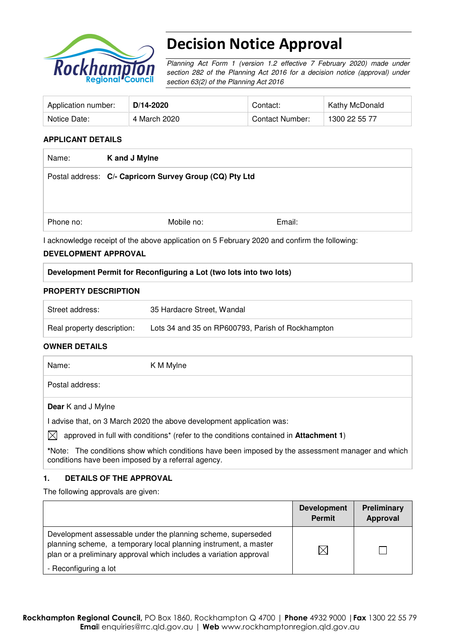

# Decision Notice Approval

Planning Act Form 1 (version 1.2 effective 7 February 2020) made under section 282 of the Planning Act 2016 for a decision notice (approval) under section 63(2) of the Planning Act 2016

| Application number: | D/14-2020    | Contact:        | <b>Kathy McDonald</b> |
|---------------------|--------------|-----------------|-----------------------|
| Notice Date:        | 4 March 2020 | Contact Number: | 1300 22 55 77         |

#### **APPLICANT DETAILS**

| Name:     | K and J Mylne                                           |        |  |
|-----------|---------------------------------------------------------|--------|--|
|           | Postal address: C/- Capricorn Survey Group (CQ) Pty Ltd |        |  |
|           |                                                         |        |  |
|           |                                                         |        |  |
| Phone no: | Mobile no:                                              | Email: |  |

I acknowledge receipt of the above application on 5 February 2020 and confirm the following:

#### **DEVELOPMENT APPROVAL**

### **Development Permit for Reconfiguring a Lot (two lots into two lots)**

#### **PROPERTY DESCRIPTION**

| Street address:            | 35 Hardacre Street, Wandal                        |
|----------------------------|---------------------------------------------------|
| Real property description: | Lots 34 and 35 on RP600793, Parish of Rockhampton |

#### **OWNER DETAILS**

| Name:                                                               | K M Mylne                                                                             |  |  |
|---------------------------------------------------------------------|---------------------------------------------------------------------------------------|--|--|
| Postal address:                                                     |                                                                                       |  |  |
| <b>Dear</b> K and J Mylne                                           |                                                                                       |  |  |
| advise that, on 3 March 2020 the above development application was: |                                                                                       |  |  |
| $\mathbb{X}$                                                        | approved in full with conditions* (refer to the conditions contained in Attachment 1) |  |  |

**\***Note:The conditions show which conditions have been imposed by the assessment manager and which conditions have been imposed by a referral agency.

### **1. DETAILS OF THE APPROVAL**

The following approvals are given:

|                                                                                                                                                                                                        | <b>Development</b><br><b>Permit</b> | Preliminary<br>Approval |
|--------------------------------------------------------------------------------------------------------------------------------------------------------------------------------------------------------|-------------------------------------|-------------------------|
| Development assessable under the planning scheme, superseded<br>planning scheme, a temporary local planning instrument, a master<br>plan or a preliminary approval which includes a variation approval |                                     |                         |
| - Reconfiguring a lot                                                                                                                                                                                  |                                     |                         |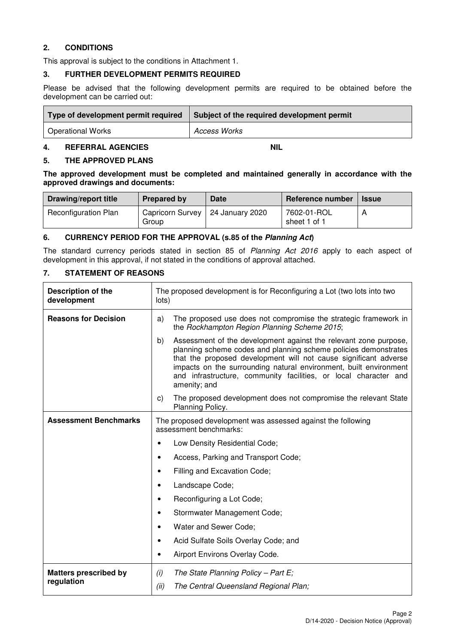#### **2. CONDITIONS**

This approval is subject to the conditions in Attachment 1.

#### **3. FURTHER DEVELOPMENT PERMITS REQUIRED**

Please be advised that the following development permits are required to be obtained before the development can be carried out:

| Type of development permit required | Subject of the required development permit |
|-------------------------------------|--------------------------------------------|
| Operational Works                   | <b>Access Works</b>                        |

### **4. REFERRAL AGENCIES NIL**

#### **5. THE APPROVED PLANS**

**The approved development must be completed and maintained generally in accordance with the approved drawings and documents:** 

| Drawing/report title        | Prepared by                                 | Date | Reference number            | <b>Issue</b> |
|-----------------------------|---------------------------------------------|------|-----------------------------|--------------|
| <b>Reconfiguration Plan</b> | Capricorn Survey   24 January 2020<br>Group |      | 7602-01-ROL<br>sheet 1 of 1 |              |

#### **6. CURRENCY PERIOD FOR THE APPROVAL (s.85 of the Planning Act)**

The standard currency periods stated in section 85 of Planning Act 2016 apply to each aspect of development in this approval, if not stated in the conditions of approval attached.

## **7. STATEMENT OF REASONS**

| Description of the<br>development          | The proposed development is for Reconfiguring a Lot (two lots into two<br>lots)                                                                                                                                                                                                                                                                                        |  |  |
|--------------------------------------------|------------------------------------------------------------------------------------------------------------------------------------------------------------------------------------------------------------------------------------------------------------------------------------------------------------------------------------------------------------------------|--|--|
| <b>Reasons for Decision</b>                | The proposed use does not compromise the strategic framework in<br>a)<br>the Rockhampton Region Planning Scheme 2015;                                                                                                                                                                                                                                                  |  |  |
|                                            | Assessment of the development against the relevant zone purpose,<br>b)<br>planning scheme codes and planning scheme policies demonstrates<br>that the proposed development will not cause significant adverse<br>impacts on the surrounding natural environment, built environment<br>and infrastructure, community facilities, or local character and<br>amenity; and |  |  |
|                                            | The proposed development does not compromise the relevant State<br>C)<br>Planning Policy.                                                                                                                                                                                                                                                                              |  |  |
| <b>Assessment Benchmarks</b>               | The proposed development was assessed against the following<br>assessment benchmarks:                                                                                                                                                                                                                                                                                  |  |  |
|                                            | Low Density Residential Code;<br>$\bullet$                                                                                                                                                                                                                                                                                                                             |  |  |
|                                            | Access, Parking and Transport Code;<br>$\bullet$                                                                                                                                                                                                                                                                                                                       |  |  |
|                                            | Filling and Excavation Code;<br>$\bullet$                                                                                                                                                                                                                                                                                                                              |  |  |
|                                            | Landscape Code;<br>$\bullet$                                                                                                                                                                                                                                                                                                                                           |  |  |
|                                            | Reconfiguring a Lot Code;<br>$\bullet$                                                                                                                                                                                                                                                                                                                                 |  |  |
|                                            | Stormwater Management Code;<br>$\bullet$                                                                                                                                                                                                                                                                                                                               |  |  |
|                                            | Water and Sewer Code;<br>$\bullet$                                                                                                                                                                                                                                                                                                                                     |  |  |
|                                            | Acid Sulfate Soils Overlay Code; and<br>$\bullet$                                                                                                                                                                                                                                                                                                                      |  |  |
|                                            | Airport Environs Overlay Code.<br>$\bullet$                                                                                                                                                                                                                                                                                                                            |  |  |
| <b>Matters prescribed by</b><br>regulation | The State Planning Policy - Part $E$ ;<br>(i)<br>(ii)<br>The Central Queensland Regional Plan;                                                                                                                                                                                                                                                                         |  |  |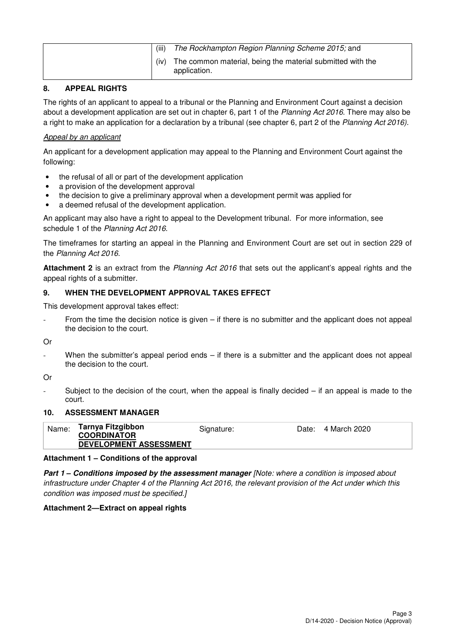| (iii) | The Rockhampton Region Planning Scheme 2015; and                           |
|-------|----------------------------------------------------------------------------|
| (iv)  | The common material, being the material submitted with the<br>application. |

### **8. APPEAL RIGHTS**

The rights of an applicant to appeal to a tribunal or the Planning and Environment Court against a decision about a development application are set out in chapter 6, part 1 of the Planning Act 2016. There may also be a right to make an application for a declaration by a tribunal (see chapter 6, part 2 of the Planning Act 2016).

#### Appeal by an applicant

An applicant for a development application may appeal to the Planning and Environment Court against the following:

- the refusal of all or part of the development application
- a provision of the development approval
- the decision to give a preliminary approval when a development permit was applied for
- a deemed refusal of the development application.

An applicant may also have a right to appeal to the Development tribunal. For more information, see schedule 1 of the Planning Act 2016.

The timeframes for starting an appeal in the Planning and Environment Court are set out in section 229 of the Planning Act 2016.

**Attachment 2** is an extract from the Planning Act 2016 that sets out the applicant's appeal rights and the appeal rights of a submitter.

#### **9. WHEN THE DEVELOPMENT APPROVAL TAKES EFFECT**

This development approval takes effect:

From the time the decision notice is given  $-$  if there is no submitter and the applicant does not appeal the decision to the court.

Or

When the submitter's appeal period ends  $-$  if there is a submitter and the applicant does not appeal the decision to the court.

Or

Subject to the decision of the court, when the appeal is finally decided  $-$  if an appeal is made to the court.

#### **10. ASSESSMENT MANAGER**

| Name: | Tarnya Fitzgibbon<br><b>COORDINATOR</b><br>DEVELOPMENT ASSESSMENT | Signature: | Date: 4 March 2020 |
|-------|-------------------------------------------------------------------|------------|--------------------|
|       |                                                                   |            |                    |

#### **Attachment 1 – Conditions of the approval**

**Part 1 – Conditions imposed by the assessment manager** [Note: where a condition is imposed about infrastructure under Chapter 4 of the Planning Act 2016, the relevant provision of the Act under which this condition was imposed must be specified.]

#### **Attachment 2—Extract on appeal rights**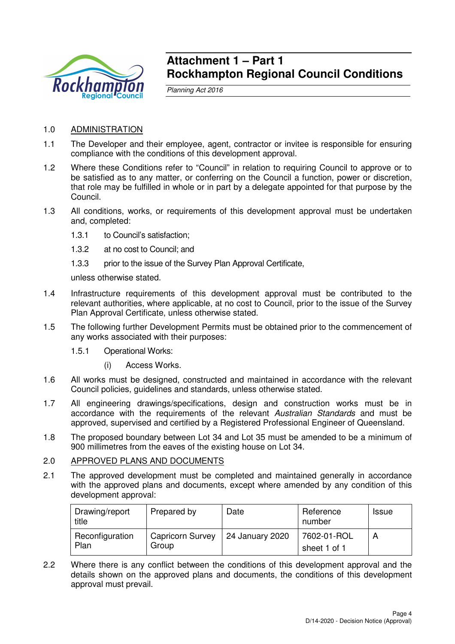

## **Attachment 1 – Part 1 Rockhampton Regional Council Conditions**

Planning Act 2016

- 1.0 ADMINISTRATION
- 1.1 The Developer and their employee, agent, contractor or invitee is responsible for ensuring compliance with the conditions of this development approval.
- 1.2 Where these Conditions refer to "Council" in relation to requiring Council to approve or to be satisfied as to any matter, or conferring on the Council a function, power or discretion, that role may be fulfilled in whole or in part by a delegate appointed for that purpose by the Council.
- 1.3 All conditions, works, or requirements of this development approval must be undertaken and, completed:
	- 1.3.1 to Council's satisfaction;
	- 1.3.2 at no cost to Council; and
	- 1.3.3 prior to the issue of the Survey Plan Approval Certificate,

unless otherwise stated.

- 1.4 Infrastructure requirements of this development approval must be contributed to the relevant authorities, where applicable, at no cost to Council, prior to the issue of the Survey Plan Approval Certificate, unless otherwise stated.
- 1.5 The following further Development Permits must be obtained prior to the commencement of any works associated with their purposes:
	- 1.5.1 Operational Works:
		- (i) Access Works.
- 1.6 All works must be designed, constructed and maintained in accordance with the relevant Council policies, guidelines and standards, unless otherwise stated.
- 1.7 All engineering drawings/specifications, design and construction works must be in accordance with the requirements of the relevant Australian Standards and must be approved, supervised and certified by a Registered Professional Engineer of Queensland.
- 1.8 The proposed boundary between Lot 34 and Lot 35 must be amended to be a minimum of 900 millimetres from the eaves of the existing house on Lot 34.

#### 2.0 APPROVED PLANS AND DOCUMENTS

2.1 The approved development must be completed and maintained generally in accordance with the approved plans and documents, except where amended by any condition of this development approval:

| Drawing/report<br>title | Prepared by                      | Date            | Reference<br>number         | <b>Issue</b> |
|-------------------------|----------------------------------|-----------------|-----------------------------|--------------|
| Reconfiguration<br>Plan | <b>Capricorn Survey</b><br>Group | 24 January 2020 | 7602-01-ROL<br>sheet 1 of 1 | A            |

2.2 Where there is any conflict between the conditions of this development approval and the details shown on the approved plans and documents, the conditions of this development approval must prevail.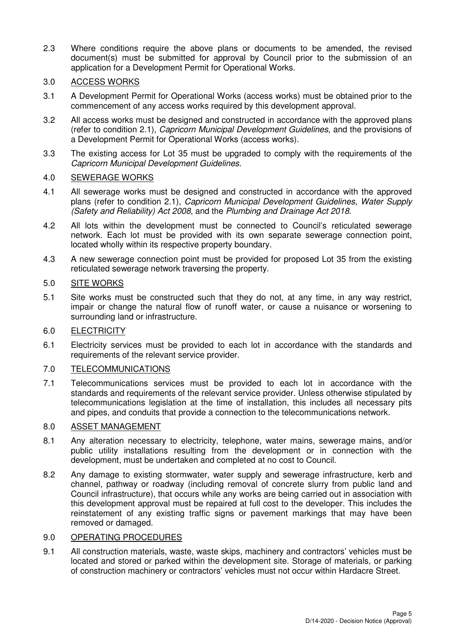2.3 Where conditions require the above plans or documents to be amended, the revised document(s) must be submitted for approval by Council prior to the submission of an application for a Development Permit for Operational Works.

### 3.0 ACCESS WORKS

- 3.1 A Development Permit for Operational Works (access works) must be obtained prior to the commencement of any access works required by this development approval.
- 3.2 All access works must be designed and constructed in accordance with the approved plans (refer to condition 2.1), Capricorn Municipal Development Guidelines, and the provisions of a Development Permit for Operational Works (access works).
- 3.3 The existing access for Lot 35 must be upgraded to comply with the requirements of the Capricorn Municipal Development Guidelines.

## 4.0 SEWERAGE WORKS

- 4.1 All sewerage works must be designed and constructed in accordance with the approved plans (refer to condition 2.1), Capricorn Municipal Development Guidelines, Water Supply (Safety and Reliability) Act 2008, and the Plumbing and Drainage Act 2018.
- 4.2 All lots within the development must be connected to Council's reticulated sewerage network. Each lot must be provided with its own separate sewerage connection point, located wholly within its respective property boundary.
- 4.3 A new sewerage connection point must be provided for proposed Lot 35 from the existing reticulated sewerage network traversing the property.

## 5.0 SITE WORKS

5.1 Site works must be constructed such that they do not, at any time, in any way restrict, impair or change the natural flow of runoff water, or cause a nuisance or worsening to surrounding land or infrastructure.

### 6.0 ELECTRICITY

6.1 Electricity services must be provided to each lot in accordance with the standards and requirements of the relevant service provider.

### 7.0 TELECOMMUNICATIONS

7.1 Telecommunications services must be provided to each lot in accordance with the standards and requirements of the relevant service provider. Unless otherwise stipulated by telecommunications legislation at the time of installation, this includes all necessary pits and pipes, and conduits that provide a connection to the telecommunications network.

### 8.0 ASSET MANAGEMENT

- 8.1 Any alteration necessary to electricity, telephone, water mains, sewerage mains, and/or public utility installations resulting from the development or in connection with the development, must be undertaken and completed at no cost to Council.
- 8.2 Any damage to existing stormwater, water supply and sewerage infrastructure, kerb and channel, pathway or roadway (including removal of concrete slurry from public land and Council infrastructure), that occurs while any works are being carried out in association with this development approval must be repaired at full cost to the developer. This includes the reinstatement of any existing traffic signs or pavement markings that may have been removed or damaged.

### 9.0 OPERATING PROCEDURES

9.1 All construction materials, waste, waste skips, machinery and contractors' vehicles must be located and stored or parked within the development site. Storage of materials, or parking of construction machinery or contractors' vehicles must not occur within Hardacre Street.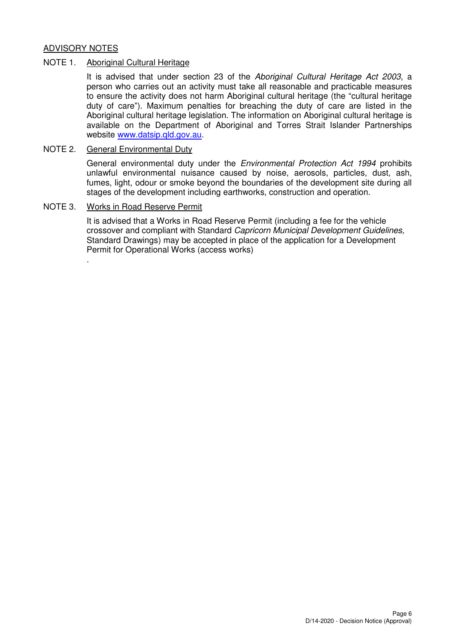#### ADVISORY NOTES

#### NOTE 1. Aboriginal Cultural Heritage

It is advised that under section 23 of the Aboriginal Cultural Heritage Act 2003, a person who carries out an activity must take all reasonable and practicable measures to ensure the activity does not harm Aboriginal cultural heritage (the "cultural heritage duty of care"). Maximum penalties for breaching the duty of care are listed in the Aboriginal cultural heritage legislation. The information on Aboriginal cultural heritage is available on the Department of Aboriginal and Torres Strait Islander Partnerships website www.datsip.qld.gov.au.

### NOTE 2. General Environmental Duty

General environmental duty under the *Environmental Protection Act 1994* prohibits unlawful environmental nuisance caused by noise, aerosols, particles, dust, ash, fumes, light, odour or smoke beyond the boundaries of the development site during all stages of the development including earthworks, construction and operation.

#### NOTE 3. Works in Road Reserve Permit

.

It is advised that a Works in Road Reserve Permit (including a fee for the vehicle crossover and compliant with Standard Capricorn Municipal Development Guidelines, Standard Drawings) may be accepted in place of the application for a Development Permit for Operational Works (access works)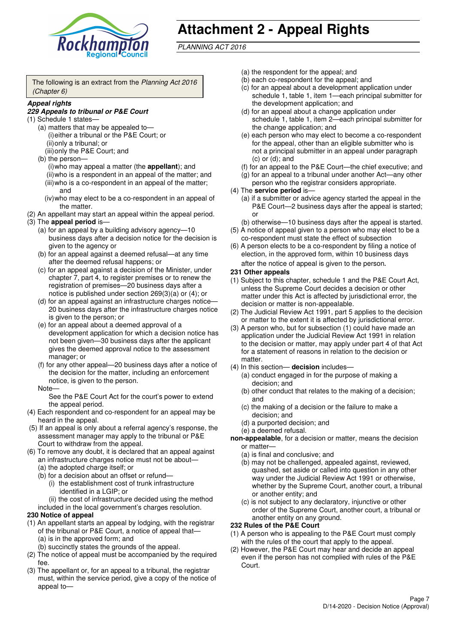

# **Attachment 2 - Appeal Rights**

PLANNING ACT 2016

The following is an extract from the Planning Act 2016 (Chapter 6)

#### **Appeal rights**

#### **229 Appeals to tribunal or P&E Court**

- (1) Schedule 1 states—
	- (a) matters that may be appealed to— (i) either a tribunal or the P&E Court; or (ii) only a tribunal; or
	- (iii) only the P&E Court; and (b) the person—
		- (i) who may appeal a matter (the **appellant**); and (ii) who is a respondent in an appeal of the matter; and (iii) who is a co-respondent in an appeal of the matter; and
		- (iv) who may elect to be a co-respondent in an appeal of the matter.
- (2) An appellant may start an appeal within the appeal period.
- (3) The **appeal period** is—
	- (a) for an appeal by a building advisory agency—10 business days after a decision notice for the decision is given to the agency or
	- (b) for an appeal against a deemed refusal—at any time after the deemed refusal happens; or
	- (c) for an appeal against a decision of the Minister, under chapter 7, part 4, to register premises or to renew the registration of premises—20 business days after a notice is published under section 269(3)(a) or (4); or
	- (d) for an appeal against an infrastructure charges notice— 20 business days after the infrastructure charges notice is given to the person; or
	- (e) for an appeal about a deemed approval of a development application for which a decision notice has not been given—30 business days after the applicant gives the deemed approval notice to the assessment manager; or
	- (f) for any other appeal—20 business days after a notice of the decision for the matter, including an enforcement notice, is given to the person.

#### Note—

See the P&E Court Act for the court's power to extend the appeal period.

- (4) Each respondent and co-respondent for an appeal may be heard in the appeal.
- (5) If an appeal is only about a referral agency's response, the assessment manager may apply to the tribunal or P&E Court to withdraw from the appeal.
- (6) To remove any doubt, it is declared that an appeal against an infrastructure charges notice must not be about—
	- (a) the adopted charge itself; or
	- (b) for a decision about an offset or refund—
		- (i) the establishment cost of trunk infrastructure identified in a LGIP; or
		- (ii) the cost of infrastructure decided using the method
	- included in the local government's charges resolution.

#### **230 Notice of appeal**

- (1) An appellant starts an appeal by lodging, with the registrar of the tribunal or P&E Court, a notice of appeal that—
	- (a) is in the approved form; and
	- (b) succinctly states the grounds of the appeal.
- (2) The notice of appeal must be accompanied by the required fee.
- (3) The appellant or, for an appeal to a tribunal, the registrar must, within the service period, give a copy of the notice of appeal to—
- (a) the respondent for the appeal; and
- (b) each co-respondent for the appeal; and
- (c) for an appeal about a development application under schedule 1, table 1, item 1—each principal submitter for the development application; and
- (d) for an appeal about a change application under schedule 1, table 1, item 2—each principal submitter for the change application; and
- (e) each person who may elect to become a co-respondent for the appeal, other than an eligible submitter who is not a principal submitter in an appeal under paragraph  $(c)$  or  $(d)$ ; and
- (f) for an appeal to the P&E Court—the chief executive; and
- (g) for an appeal to a tribunal under another Act—any other person who the registrar considers appropriate.
- (4) The **service period** is—
	- (a) if a submitter or advice agency started the appeal in the P&E Court-2 business days after the appeal is started; or
	- (b) otherwise—10 business days after the appeal is started.
- (5) A notice of appeal given to a person who may elect to be a co-respondent must state the effect of subsection
- (6) A person elects to be a co-respondent by filing a notice of election, in the approved form, within 10 business days after the notice of appeal is given to the person*.*
- **231 Other appeals**
- (1) Subject to this chapter, schedule 1 and the P&E Court Act, unless the Supreme Court decides a decision or other matter under this Act is affected by jurisdictional error, the decision or matter is non-appealable.
- (2) The Judicial Review Act 1991, part 5 applies to the decision or matter to the extent it is affected by jurisdictional error.
- (3) A person who, but for subsection (1) could have made an application under the Judicial Review Act 1991 in relation to the decision or matter, may apply under part 4 of that Act for a statement of reasons in relation to the decision or matter.
- (4) In this section— **decision** includes—
	- (a) conduct engaged in for the purpose of making a decision; and
	- (b) other conduct that relates to the making of a decision; and
	- (c) the making of a decision or the failure to make a decision; and
	- (d) a purported decision; and
	- (e) a deemed refusal.

**non-appealable**, for a decision or matter, means the decision or matter—

- (a) is final and conclusive; and
- (b) may not be challenged, appealed against, reviewed, quashed, set aside or called into question in any other way under the Judicial Review Act 1991 or otherwise, whether by the Supreme Court, another court, a tribunal or another entity; and
- (c) is not subject to any declaratory, injunctive or other order of the Supreme Court, another court, a tribunal or another entity on any ground.

#### **232 Rules of the P&E Court**

- (1) A person who is appealing to the P&E Court must comply with the rules of the court that apply to the appeal.
- (2) However, the P&E Court may hear and decide an appeal even if the person has not complied with rules of the P&E Court.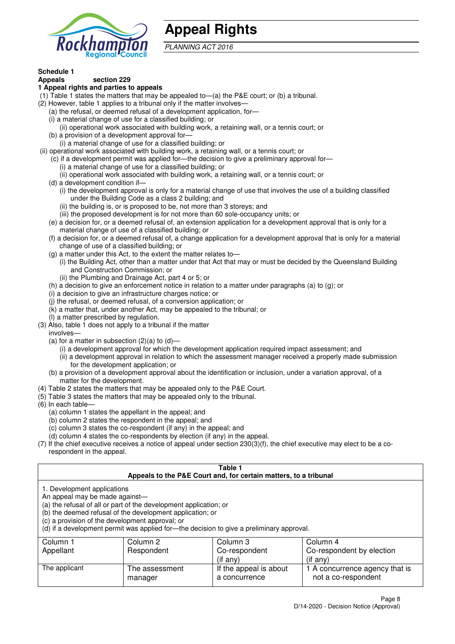

## **Appeal Rights**

PLANNING ACT 2016

## **Schedule 1**

#### **Appeals section 229 1 Appeal rights and parties to appeals**

- (1) Table 1 states the matters that may be appealed to—(a) the P&E court; or (b) a tribunal.
- (2) However, table 1 applies to a tribunal only if the matter involves—
	- (a) the refusal, or deemed refusal of a development application, for—
	- (i) a material change of use for a classified building; or
	- (ii) operational work associated with building work, a retaining wall, or a tennis court; or
	- (b) a provision of a development approval for—
	- (i) a material change of use for a classified building; or
- (ii) operational work associated with building work, a retaining wall, or a tennis court; or
	- (c) if a development permit was applied for—the decision to give a preliminary approval for— (i) a material change of use for a classified building; or
	- (ii) operational work associated with building work, a retaining wall, or a tennis court; or
	- (d) a development condition if—
		- (i) the development approval is only for a material change of use that involves the use of a building classified under the Building Code as a class 2 building; and
		- (ii) the building is, or is proposed to be, not more than 3 storeys; and
		- (iii) the proposed development is for not more than 60 sole-occupancy units; or
	- (e) a decision for, or a deemed refusal of, an extension application for a development approval that is only for a material change of use of a classified building; or
	- (f) a decision for, or a deemed refusal of, a change application for a development approval that is only for a material change of use of a classified building; or
	- (g) a matter under this Act, to the extent the matter relates to—
		- (i) the Building Act, other than a matter under that Act that may or must be decided by the Queensland Building and Construction Commission; or
		- (ii) the Plumbing and Drainage Act, part 4 or 5; or
	- (h) a decision to give an enforcement notice in relation to a matter under paragraphs (a) to (g); or
	- (i) a decision to give an infrastructure charges notice; or
	- (j) the refusal, or deemed refusal, of a conversion application; or
	- (k) a matter that, under another Act, may be appealed to the tribunal; or
	- (l) a matter prescribed by regulation.
- (3) Also, table 1 does not apply to a tribunal if the matter

involves—

- (a) for a matter in subsection  $(2)(a)$  to  $(d)$ 
	- (i) a development approval for which the development application required impact assessment; and
	- (ii) a development approval in relation to which the assessment manager received a properly made submission for the development application; or
- (b) a provision of a development approval about the identification or inclusion, under a variation approval, of a matter for the development.
- (4) Table 2 states the matters that may be appealed only to the P&E Court.
- (5) Table 3 states the matters that may be appealed only to the tribunal.
- (6) In each table—
	- (a) column 1 states the appellant in the appeal; and
	- (b) column 2 states the respondent in the appeal; and
	- (c) column 3 states the co-respondent (if any) in the appeal; and
	- (d) column 4 states the co-respondents by election (if any) in the appeal.
- (7) If the chief executive receives a notice of appeal under section 230(3)(f), the chief executive may elect to be a corespondent in the appeal.

| Table 1<br>Appeals to the P&E Court and, for certain matters, to a tribunal                                                                                                                                                                                                                                                                    |                                                          |                                         |                                                       |  |  |  |
|------------------------------------------------------------------------------------------------------------------------------------------------------------------------------------------------------------------------------------------------------------------------------------------------------------------------------------------------|----------------------------------------------------------|-----------------------------------------|-------------------------------------------------------|--|--|--|
| 1. Development applications<br>An appeal may be made against-<br>(a) the refusal of all or part of the development application; or<br>(b) the deemed refusal of the development application; or<br>(c) a provision of the development approval; or<br>(d) if a development permit was applied for-the decision to give a preliminary approval. |                                                          |                                         |                                                       |  |  |  |
| Column 1                                                                                                                                                                                                                                                                                                                                       | Column 2                                                 | Column 3                                | Column 4                                              |  |  |  |
| Appellant                                                                                                                                                                                                                                                                                                                                      | Co-respondent by election<br>Respondent<br>Co-respondent |                                         |                                                       |  |  |  |
| (if any)<br>$(i$ f any)                                                                                                                                                                                                                                                                                                                        |                                                          |                                         |                                                       |  |  |  |
| The applicant                                                                                                                                                                                                                                                                                                                                  | The assessment<br>manager                                | If the appeal is about<br>a concurrence | 1 A concurrence agency that is<br>not a co-respondent |  |  |  |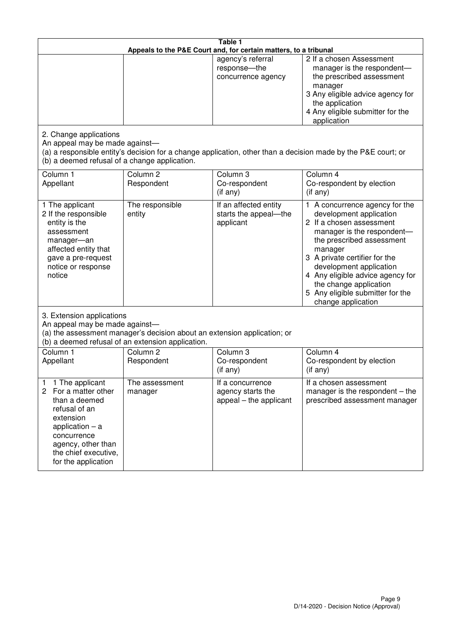| Table 1<br>Appeals to the P&E Court and, for certain matters, to a tribunal                                                                                                                             |                                   |                                                                 |                                                                                                                                                                                                                                                                                                                                                 |  |
|---------------------------------------------------------------------------------------------------------------------------------------------------------------------------------------------------------|-----------------------------------|-----------------------------------------------------------------|-------------------------------------------------------------------------------------------------------------------------------------------------------------------------------------------------------------------------------------------------------------------------------------------------------------------------------------------------|--|
|                                                                                                                                                                                                         |                                   | agency's referral<br>response-the<br>concurrence agency         | 2 If a chosen Assessment<br>manager is the respondent-<br>the prescribed assessment<br>manager<br>3 Any eligible advice agency for<br>the application<br>4 Any eligible submitter for the<br>application                                                                                                                                        |  |
| 2. Change applications<br>An appeal may be made against-<br>(b) a deemed refusal of a change application.                                                                                               |                                   |                                                                 | (a) a responsible entity's decision for a change application, other than a decision made by the P&E court; or                                                                                                                                                                                                                                   |  |
| Column 1<br>Appellant                                                                                                                                                                                   | Column <sub>2</sub><br>Respondent | Column 3<br>Co-respondent<br>$($ if any $)$                     | Column 4<br>Co-respondent by election<br>$(if$ any)                                                                                                                                                                                                                                                                                             |  |
| 1 The applicant<br>2 If the responsible<br>entity is the<br>assessment<br>manager-an<br>affected entity that<br>gave a pre-request<br>notice or response<br>notice                                      | The responsible<br>entity         | If an affected entity<br>starts the appeal-the<br>applicant     | 1 A concurrence agency for the<br>development application<br>2 If a chosen assessment<br>manager is the respondent-<br>the prescribed assessment<br>manager<br>3 A private certifier for the<br>development application<br>4 Any eligible advice agency for<br>the change application<br>5 Any eligible submitter for the<br>change application |  |
| 3. Extension applications<br>An appeal may be made against-<br>(a) the assessment manager's decision about an extension application; or<br>(b) a deemed refusal of an extension application.            |                                   |                                                                 |                                                                                                                                                                                                                                                                                                                                                 |  |
| Column 1<br>Appellant                                                                                                                                                                                   | Column <sub>2</sub><br>Respondent | Column 3<br>Co-respondent<br>(if any)                           | Column $\overline{4}$<br>Co-respondent by election<br>(if any)                                                                                                                                                                                                                                                                                  |  |
| 1 The applicant<br>1<br>2<br>For a matter other<br>than a deemed<br>refusal of an<br>extension<br>application $-$ a<br>concurrence<br>agency, other than<br>the chief executive,<br>for the application | The assessment<br>manager         | If a concurrence<br>agency starts the<br>appeal – the applicant | If a chosen assessment<br>manager is the respondent $-$ the<br>prescribed assessment manager                                                                                                                                                                                                                                                    |  |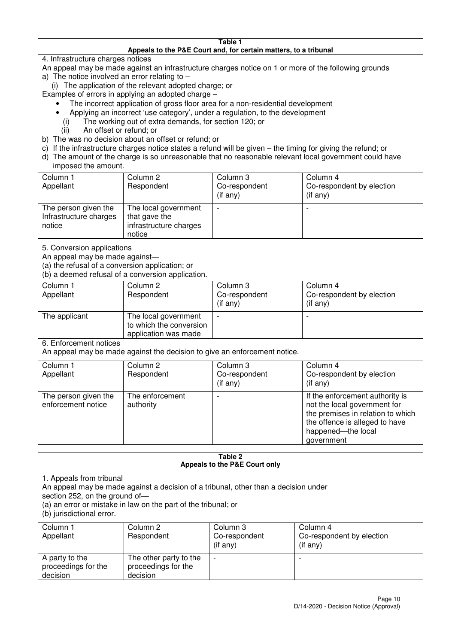#### **Table 1 Appeals to the P&E Court and, for certain matters, to a tribunal**

4. Infrastructure charges notices

- An appeal may be made against an infrastructure charges notice on 1 or more of the following grounds
- a) The notice involved an error relating to
	- (i) The application of the relevant adopted charge; or
- Examples of errors in applying an adopted charge
	- The incorrect application of gross floor area for a non-residential development
	- Applying an incorrect 'use category', under a regulation, to the development
	- (i) The working out of extra demands, for section 120; or
	- (ii) An offset or refund; or
- b) The was no decision about an offset or refund; or
- c) If the infrastructure charges notice states a refund will be given the timing for giving the refund; or
- d) The amount of the charge is so unreasonable that no reasonable relevant local government could have

### imposed the amount.

| Column 1<br>Appellant                                    | Column 2<br>Respondent                                                    | Column 3<br>Co-respondent<br>$($ if any $)$ | Column 4<br>Co-respondent by election<br>$($ if any $)$ |
|----------------------------------------------------------|---------------------------------------------------------------------------|---------------------------------------------|---------------------------------------------------------|
| The person given the<br>Infrastructure charges<br>notice | The local government<br>that gave the<br>infrastructure charges<br>notice |                                             | $\overline{\phantom{0}}$                                |

5. Conversion applications

An appeal may be made against—

(a) the refusal of a conversion application; or

(b) a deemed refusal of a conversion application.

| Column 1<br>Appellant | Column 2<br>Respondent                                                  | Column 3<br>Co-respondent<br>$($ if any $)$ | Column 4<br>Co-respondent by election<br>$($ if any $)$ |
|-----------------------|-------------------------------------------------------------------------|---------------------------------------------|---------------------------------------------------------|
| The applicant         | The local government<br>to which the conversion<br>application was made |                                             |                                                         |

6. Enforcement notices

An appeal may be made against the decision to give an enforcement notice.

| Column 1                                   | Column 2                     | Column 3       | Column 4                                                                                                                                                                   |
|--------------------------------------------|------------------------------|----------------|----------------------------------------------------------------------------------------------------------------------------------------------------------------------------|
| Appellant                                  | Respondent                   | Co-respondent  | Co-respondent by election                                                                                                                                                  |
|                                            |                              | $($ if any $)$ | (if any)                                                                                                                                                                   |
| The person given the<br>enforcement notice | The enforcement<br>authority |                | If the enforcement authority is<br>not the local government for<br>the premises in relation to which<br>the offence is alleged to have<br>happened-the local<br>government |

#### **Table 2 Appeals to the P&E Court only**

1. Appeals from tribunal

An appeal may be made against a decision of a tribunal, other than a decision under

section 252, on the ground of-

(a) an error or mistake in law on the part of the tribunal; or

(b) jurisdictional error.

| Column 1<br>Appellant                             | Column 2<br>Respondent                                    | Column 3<br>Co-respondent<br>$($ if any $)$ | Column 4<br>Co-respondent by election<br>(i f any) |
|---------------------------------------------------|-----------------------------------------------------------|---------------------------------------------|----------------------------------------------------|
| A party to the<br>proceedings for the<br>decision | The other party to the<br>proceedings for the<br>decision | $\overline{\phantom{0}}$                    |                                                    |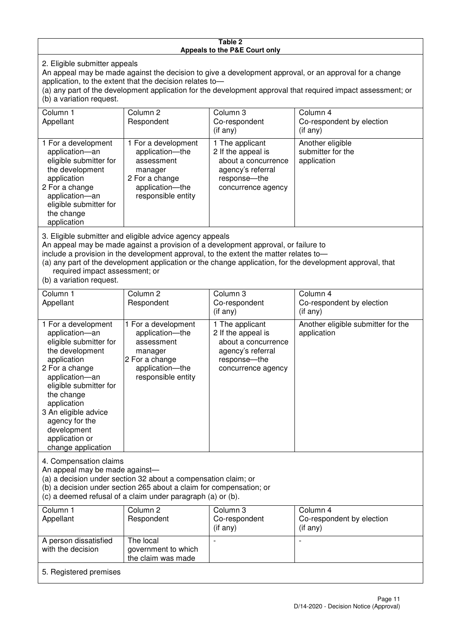#### **Table 2 Appeals to the P&E Court only**

2. Eligible submitter appeals

An appeal may be made against the decision to give a development approval, or an approval for a change An appear may be made against the decision relates to—<br>application, to the extent that the decision relates to—

(a) any part of the development application for the development approval that required impact assessment; or (b) a variation request.

| Column 1                                                                                                                                                                                                                                                                                                                                                                               | Column 2                                                                                                                   | Column 3                                                                                                                | Column 4                                             |  |
|----------------------------------------------------------------------------------------------------------------------------------------------------------------------------------------------------------------------------------------------------------------------------------------------------------------------------------------------------------------------------------------|----------------------------------------------------------------------------------------------------------------------------|-------------------------------------------------------------------------------------------------------------------------|------------------------------------------------------|--|
| Appellant                                                                                                                                                                                                                                                                                                                                                                              | Respondent                                                                                                                 | Co-respondent                                                                                                           | Co-respondent by election                            |  |
|                                                                                                                                                                                                                                                                                                                                                                                        |                                                                                                                            | $($ if any $)$                                                                                                          | (i f any)                                            |  |
| 1 For a development<br>application-an<br>eligible submitter for<br>the development<br>application<br>2 For a change<br>application-an<br>eligible submitter for<br>the change<br>application                                                                                                                                                                                           | 1 For a development<br>application-the<br>assessment<br>manager<br>2 For a change<br>application-the<br>responsible entity | 1 The applicant<br>2 If the appeal is<br>about a concurrence<br>agency's referral<br>response-the<br>concurrence agency | Another eligible<br>submitter for the<br>application |  |
| 3. Eligible submitter and eligible advice agency appeals<br>An appeal may be made against a provision of a development approval, or failure to<br>include a provision in the development approval, to the extent the matter relates to-<br>(a) any part of the development application or the change application, for the development approval, that<br>required impact assessment; or |                                                                                                                            |                                                                                                                         |                                                      |  |

(b) a variation request.

with the decision

5. Registered premises

| Column 1<br>Appellant                                                                                                                                                                                                                                                                         | Column <sub>2</sub><br>Respondent                                                                                          | Column 3<br>Co-respondent<br>$(i$ f any)                                                                                | Column 4<br>Co-respondent by election<br>(i f any) |  |
|-----------------------------------------------------------------------------------------------------------------------------------------------------------------------------------------------------------------------------------------------------------------------------------------------|----------------------------------------------------------------------------------------------------------------------------|-------------------------------------------------------------------------------------------------------------------------|----------------------------------------------------|--|
| 1 For a development<br>application-an<br>eligible submitter for<br>the development<br>application<br>2 For a change<br>application-an<br>eligible submitter for<br>the change<br>application<br>3 An eligible advice<br>agency for the<br>development<br>application or<br>change application | 1 For a development<br>application-the<br>assessment<br>manager<br>2 For a change<br>application-the<br>responsible entity | 1 The applicant<br>2 If the appeal is<br>about a concurrence<br>agency's referral<br>response-the<br>concurrence agency | Another eligible submitter for the<br>application  |  |
| 4. Compensation claims<br>An appeal may be made against-<br>(a) a decision under section 32 about a compensation claim; or<br>(b) a decision under section 265 about a claim for compensation; or<br>(c) a deemed refusal of a claim under paragraph (a) or (b).                              |                                                                                                                            |                                                                                                                         |                                                    |  |
| Column 1<br>Appellant                                                                                                                                                                                                                                                                         | Column <sub>2</sub><br>Respondent                                                                                          | Column 3<br>Co-respondent                                                                                               | Column 4<br>Co-respondent by election              |  |
|                                                                                                                                                                                                                                                                                               |                                                                                                                            | (if any)                                                                                                                | (if any)                                           |  |
| A person dissatisfied                                                                                                                                                                                                                                                                         | The local                                                                                                                  |                                                                                                                         |                                                    |  |

government to which the claim was made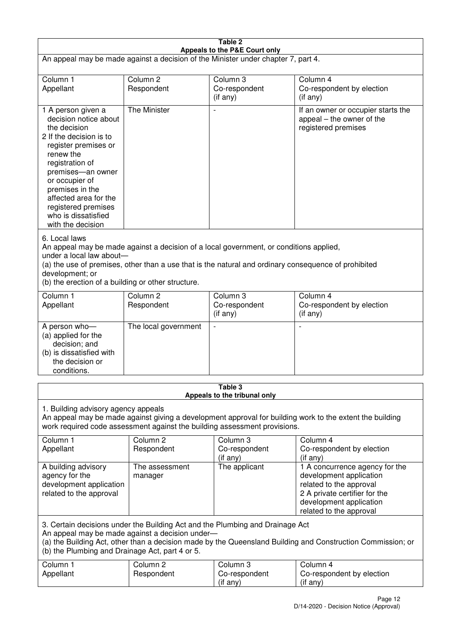| Table 2<br>Appeals to the P&E Court only                                                                                                                                                                                                                                                                             |                                   |                                                  |                                                                                                                                                                             |  |
|----------------------------------------------------------------------------------------------------------------------------------------------------------------------------------------------------------------------------------------------------------------------------------------------------------------------|-----------------------------------|--------------------------------------------------|-----------------------------------------------------------------------------------------------------------------------------------------------------------------------------|--|
| An appeal may be made against a decision of the Minister under chapter 7, part 4.                                                                                                                                                                                                                                    |                                   |                                                  |                                                                                                                                                                             |  |
| Column 1<br>Appellant                                                                                                                                                                                                                                                                                                | Column <sub>2</sub><br>Respondent | Column 3<br>Co-respondent<br>(if any)            | Column 4<br>Co-respondent by election<br>(if any)                                                                                                                           |  |
| 1 A person given a<br>decision notice about<br>the decision<br>2 If the decision is to<br>register premises or<br>renew the<br>registration of<br>premises-an owner<br>or occupier of<br>premises in the<br>affected area for the<br>registered premises<br>who is dissatisfied<br>with the decision                 | The Minister                      | $\overline{\phantom{a}}$                         | If an owner or occupier starts the<br>appeal – the owner of the<br>registered premises                                                                                      |  |
| 6. Local laws<br>An appeal may be made against a decision of a local government, or conditions applied,<br>under a local law about-<br>(a) the use of premises, other than a use that is the natural and ordinary consequence of prohibited<br>development; or<br>(b) the erection of a building or other structure. |                                   |                                                  |                                                                                                                                                                             |  |
| Column 1<br>Appellant                                                                                                                                                                                                                                                                                                | Column <sub>2</sub><br>Respondent | Column 3<br>Co-respondent<br>(if any)            | Column 4<br>Co-respondent by election<br>(if any)                                                                                                                           |  |
| A person who-<br>(a) applied for the<br>decision; and<br>(b) is dissatisfied with<br>the decision or<br>conditions.                                                                                                                                                                                                  | The local government              |                                                  |                                                                                                                                                                             |  |
|                                                                                                                                                                                                                                                                                                                      |                                   | Table 3<br>Appeals to the tribunal only          |                                                                                                                                                                             |  |
| 1. Building advisory agency appeals<br>An appeal may be made against giving a development approval for building work to the extent the building<br>work required code assessment against the building assessment provisions.                                                                                         |                                   |                                                  |                                                                                                                                                                             |  |
| Column 1<br>Appellant                                                                                                                                                                                                                                                                                                | Column <sub>2</sub><br>Respondent | Column <sub>3</sub><br>Co-respondent<br>(if any) | Column 4<br>Co-respondent by election<br>(if any)                                                                                                                           |  |
| A building advisory<br>agency for the<br>development application<br>related to the approval                                                                                                                                                                                                                          | The assessment<br>manager         | The applicant                                    | 1 A concurrence agency for the<br>development application<br>related to the approval<br>2 A private certifier for the<br>development application<br>related to the approval |  |
| 3. Certain decisions under the Building Act and the Plumbing and Drainage Act<br>An appeal may be made against a decision under-<br>(a) the Building Act, other than a decision made by the Queensland Building and Construction Commission; or<br>(b) the Plumbing and Drainage Act, part 4 or 5.                   |                                   |                                                  |                                                                                                                                                                             |  |
| Column 1<br>Appellant                                                                                                                                                                                                                                                                                                | Column <sub>2</sub><br>Respondent | Column 3<br>Co-respondent<br>(if any)            | Column 4<br>Co-respondent by election<br>(if any)                                                                                                                           |  |